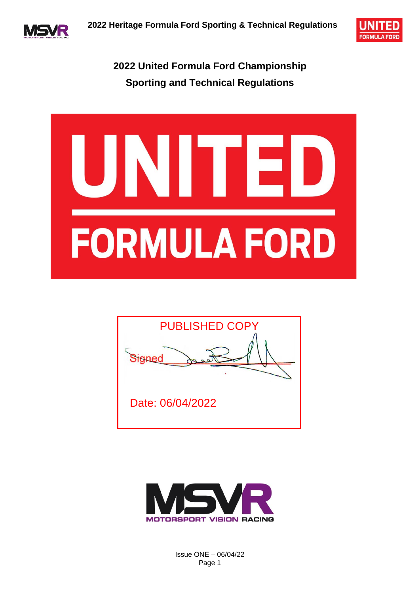



**2022 United Formula Ford Championship Sporting and Technical Regulations**







Issue ONE – 06/04/22 Page 1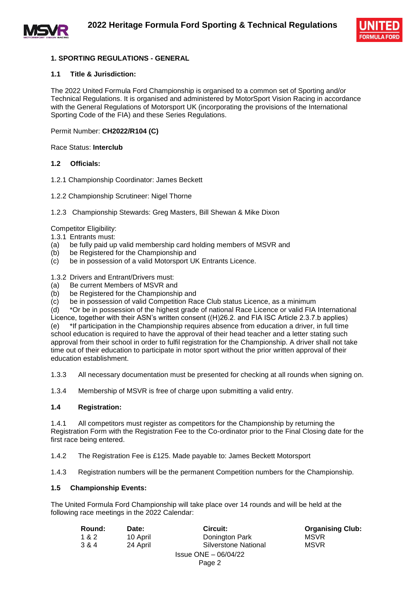



#### **1. SPORTING REGULATIONS - GENERAL**

#### **1.1 Title & Jurisdiction:**

The 2022 United Formula Ford Championship is organised to a common set of Sporting and/or Technical Regulations. It is organised and administered by MotorSport Vision Racing in accordance with the General Regulations of Motorsport UK (incorporating the provisions of the International Sporting Code of the FIA) and these Series Regulations.

Permit Number: **CH2022/R104 (C)**

Race Status: **Interclub**

#### **1.2 Officials:**

- 1.2.1 Championship Coordinator: James Beckett
- 1.2.2 Championship Scrutineer: Nigel Thorne
- 1.2.3 Championship Stewards: Greg Masters, Bill Shewan & Mike Dixon

Competitor Eligibility:

1.3.1 Entrants must:

- (a) be fully paid up valid membership card holding members of MSVR and
- (b) be Registered for the Championship and
- (c) be in possession of a valid Motorsport UK Entrants Licence.

1.3.2 Drivers and Entrant/Drivers must:

- (a) Be current Members of MSVR and
- (b) be Registered for the Championship and
- (c) be in possession of valid Competition Race Club status Licence, as a minimum

(d) \*Or be in possession of the highest grade of national Race Licence or valid FIA International

Licence, together with their ASN's written consent ((H)26.2. and FIA ISC Article 2.3.7.b applies) (e) \*If participation in the Championship requires absence from education a driver, in full time school education is required to have the approval of their head teacher and a letter stating such approval from their school in order to fulfil registration for the Championship. A driver shall not take time out of their education to participate in motor sport without the prior written approval of their education establishment.

1.3.3 All necessary documentation must be presented for checking at all rounds when signing on.

1.3.4 Membership of MSVR is free of charge upon submitting a valid entry.

#### **1.4 Registration:**

1.4.1 All competitors must register as competitors for the Championship by returning the Registration Form with the Registration Fee to the Co-ordinator prior to the Final Closing date for the first race being entered.

1.4.2 The Registration Fee is £125. Made payable to: James Beckett Motorsport

1.4.3 Registration numbers will be the permanent Competition numbers for the Championship.

#### **1.5 Championship Events:**

The United Formula Ford Championship will take place over 14 rounds and will be held at the following race meetings in the 2022 Calendar:

| Round: | Date:    | Circuit:                | <b>Organising Club:</b> |
|--------|----------|-------------------------|-------------------------|
| 1&2    | 10 April | Donington Park          | <b>MSVR</b>             |
| 3 & 4  | 24 April | Silverstone National    | <b>MSVR</b>             |
|        |          | $Is sue ONE - 06/04/22$ |                         |
|        |          | Page 2                  |                         |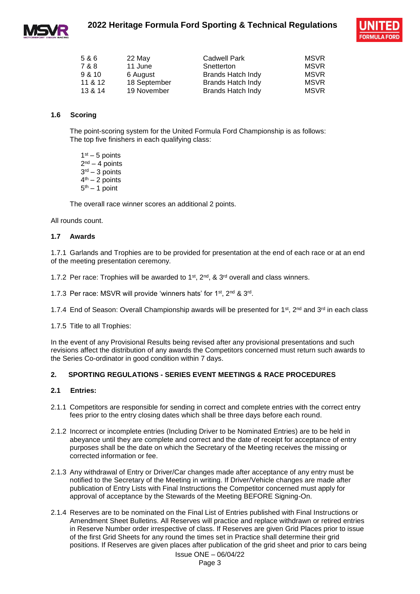



| 5&6     | 22 May       | <b>Cadwell Park</b>      | <b>MSVR</b> |
|---------|--------------|--------------------------|-------------|
| 7 & 8   | 11 June      | Snetterton               | <b>MSVR</b> |
| 9 & 10  | 6 August     | Brands Hatch Indy        | <b>MSVR</b> |
| 11 & 12 | 18 September | Brands Hatch Indy        | <b>MSVR</b> |
| 13 & 14 | 19 November  | <b>Brands Hatch Indy</b> | <b>MSVR</b> |

#### **1.6 Scoring**

The point-scoring system for the United Formula Ford Championship is as follows: The top five finishers in each qualifying class:

 $1<sup>st</sup> - 5$  points 2<sup>nd</sup> – 4 points 3 rd – 3 points 4<sup>th</sup> – 2 points 5<sup>th</sup> – 1 point

The overall race winner scores an additional 2 points.

All rounds count.

#### **1.7 Awards**

1.7.1 Garlands and Trophies are to be provided for presentation at the end of each race or at an end of the meeting presentation ceremony.

- 1.7.2 Per race: Trophies will be awarded to 1<sup>st</sup>,  $2<sup>nd</sup>$ , &  $3<sup>rd</sup>$  overall and class winners.
- 1.7.3 Per race: MSVR will provide 'winners hats' for 1<sup>st</sup>, 2<sup>nd</sup> & 3<sup>rd</sup>.
- 1.7.4 End of Season: Overall Championship awards will be presented for 1<sup>st</sup>, 2<sup>nd</sup> and 3<sup>rd</sup> in each class

1.7.5 Title to all Trophies:

In the event of any Provisional Results being revised after any provisional presentations and such revisions affect the distribution of any awards the Competitors concerned must return such awards to the Series Co-ordinator in good condition within 7 days.

#### **2. SPORTING REGULATIONS - SERIES EVENT MEETINGS & RACE PROCEDURES**

#### **2.1 Entries:**

- 2.1.1 Competitors are responsible for sending in correct and complete entries with the correct entry fees prior to the entry closing dates which shall be three days before each round.
- 2.1.2 Incorrect or incomplete entries (Including Driver to be Nominated Entries) are to be held in abeyance until they are complete and correct and the date of receipt for acceptance of entry purposes shall be the date on which the Secretary of the Meeting receives the missing or corrected information or fee.
- 2.1.3 Any withdrawal of Entry or Driver/Car changes made after acceptance of any entry must be notified to the Secretary of the Meeting in writing. If Driver/Vehicle changes are made after publication of Entry Lists with Final Instructions the Competitor concerned must apply for approval of acceptance by the Stewards of the Meeting BEFORE Signing-On.
- 2.1.4 Reserves are to be nominated on the Final List of Entries published with Final Instructions or Amendment Sheet Bulletins. All Reserves will practice and replace withdrawn or retired entries in Reserve Number order irrespective of class. If Reserves are given Grid Places prior to issue of the first Grid Sheets for any round the times set in Practice shall determine their grid positions. If Reserves are given places after publication of the grid sheet and prior to cars being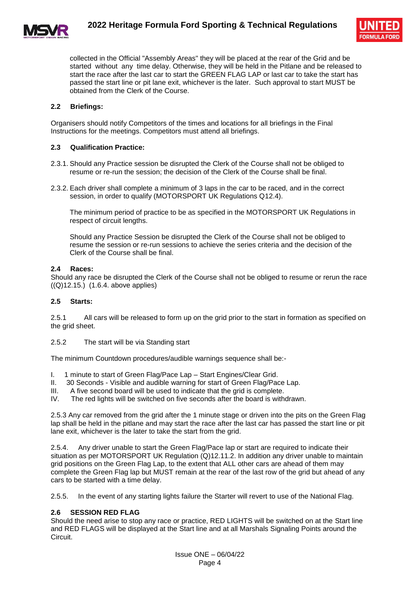



collected in the Official "Assembly Areas" they will be placed at the rear of the Grid and be started without any time delay. Otherwise, they will be held in the Pitlane and be released to start the race after the last car to start the GREEN FLAG LAP or last car to take the start has passed the start line or pit lane exit, whichever is the later. Such approval to start MUST be obtained from the Clerk of the Course.

#### **2.2 Briefings:**

Organisers should notify Competitors of the times and locations for all briefings in the Final Instructions for the meetings. Competitors must attend all briefings.

#### **2.3 Qualification Practice:**

- 2.3.1. Should any Practice session be disrupted the Clerk of the Course shall not be obliged to resume or re-run the session; the decision of the Clerk of the Course shall be final.
- 2.3.2. Each driver shall complete a minimum of 3 laps in the car to be raced, and in the correct session, in order to qualify (MOTORSPORT UK Regulations Q12.4).

The minimum period of practice to be as specified in the MOTORSPORT UK Regulations in respect of circuit lengths.

Should any Practice Session be disrupted the Clerk of the Course shall not be obliged to resume the session or re-run sessions to achieve the series criteria and the decision of the Clerk of the Course shall be final.

#### **2.4 Races:**

Should any race be disrupted the Clerk of the Course shall not be obliged to resume or rerun the race ((Q)12.15.) (1.6.4. above applies)

#### **2.5 Starts:**

2.5.1 All cars will be released to form up on the grid prior to the start in formation as specified on the grid sheet.

2.5.2 The start will be via Standing start

The minimum Countdown procedures/audible warnings sequence shall be:-

- I. 1 minute to start of Green Flag/Pace Lap Start Engines/Clear Grid.
- II. 30 Seconds Visible and audible warning for start of Green Flag/Pace Lap.
- III. A five second board will be used to indicate that the grid is complete.<br>IV. The red lights will be switched on five seconds after the board is with
- The red lights will be switched on five seconds after the board is withdrawn.

2.5.3 Any car removed from the grid after the 1 minute stage or driven into the pits on the Green Flag lap shall be held in the pitlane and may start the race after the last car has passed the start line or pit lane exit, whichever is the later to take the start from the grid.

2.5.4. Any driver unable to start the Green Flag/Pace lap or start are required to indicate their situation as per MOTORSPORT UK Regulation (Q)12.11.2. In addition any driver unable to maintain grid positions on the Green Flag Lap, to the extent that ALL other cars are ahead of them may complete the Green Flag lap but MUST remain at the rear of the last row of the grid but ahead of any cars to be started with a time delay.

2.5.5. In the event of any starting lights failure the Starter will revert to use of the National Flag.

#### **2.6 SESSION RED FLAG**

Should the need arise to stop any race or practice, RED LIGHTS will be switched on at the Start line and RED FLAGS will be displayed at the Start line and at all Marshals Signaling Points around the Circuit.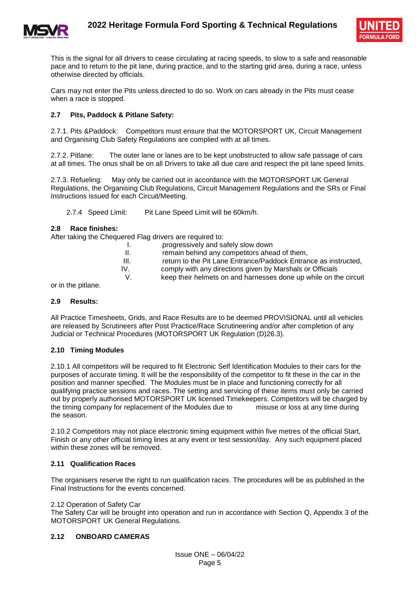



This is the signal for all drivers to cease circulating at racing speeds, to slow to a safe and reasonable pace and to return to the pit lane, during practice, and to the starting grid area, during a race, unless otherwise directed by officials.

Cars may not enter the Pits unless directed to do so. Work on cars already in the Pits must cease when a race is stopped.

#### **2.7 Pits, Paddock & Pitlane Safety:**

2.7.1. Pits &Paddock: Competitors must ensure that the MOTORSPORT UK, Circuit Management and Organising Club Safety Regulations are complied with at all times.

2.7.2. Pitlane: The outer lane or lanes are to be kept unobstructed to allow safe passage of cars at all times. The onus shall be on all Drivers to take all due care and respect the pit lane speed limits.

2.7.3. Refueling: May only be carried out in accordance with the MOTORSPORT UK General Regulations, the Organising Club Regulations, Circuit Management Regulations and the SRs or Final Instructions issued for each Circuit/Meeting.

2.7.4 Speed Limit: Pit Lane Speed Limit will be 60km/h.

#### **2.8 Race finishes:**

After taking the Chequered Flag drivers are required to:

|      | progressively and safely slow down                               |
|------|------------------------------------------------------------------|
| Ш.   | remain behind any competitors ahead of them,                     |
| III. | return to the Pit Lane Entrance/Paddock Entrance as instructed,  |
| IV.  | comply with any directions given by Marshals or Officials        |
|      | keep their helmets on and harnesses done up while on the circuit |
|      |                                                                  |

or in the pitlane.

#### **2.9 Results:**

All Practice Timesheets, Grids, and Race Results are to be deemed PROVISIONAL until all vehicles are released by Scrutineers after Post Practice/Race Scrutineering and/or after completion of any Judicial or Technical Procedures (MOTORSPORT UK Regulation (D)26.3).

#### **2.10 Timing Modules**

2.10.1 All competitors will be required to fit Electronic Self Identification Modules to their cars for the purposes of accurate timing. It will be the responsibility of the competitor to fit these in the car in the position and manner specified. The Modules must be in place and functioning correctly for all qualifying practice sessions and races. The setting and servicing of these items must only be carried out by properly authorised MOTORSPORT UK licensed Timekeepers. Competitors will be charged by the timing company for replacement of the Modules due to misuse or loss at any time during the season.

2.10.2 Competitors may not place electronic timing equipment within five metres of the official Start, Finish or any other official timing lines at any event or test session/day. Any such equipment placed within these zones will be removed.

#### **2.11 Qualification Races**

The organisers reserve the right to run qualification races. The procedures will be as published in the Final Instructions for the events concerned.

#### 2.12 Operation of Safety Car

The Safety Car will be brought into operation and run in accordance with Section Q, Appendix 3 of the MOTORSPORT UK General Regulations.

#### **2.12 ONBOARD CAMERAS**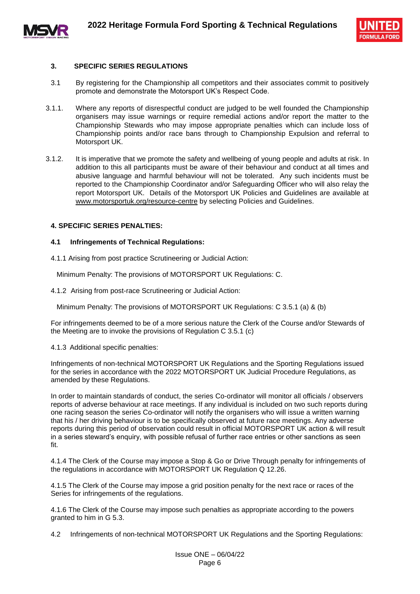



#### **3. SPECIFIC SERIES REGULATIONS**

- 3.1 By registering for the Championship all competitors and their associates commit to positively promote and demonstrate the Motorsport UK's Respect Code.
- 3.1.1. Where any reports of disrespectful conduct are judged to be well founded the Championship organisers may issue warnings or require remedial actions and/or report the matter to the Championship Stewards who may impose appropriate penalties which can include loss of Championship points and/or race bans through to Championship Expulsion and referral to Motorsport UK.
- 3.1.2. It is imperative that we promote the safety and wellbeing of young people and adults at risk. In addition to this all participants must be aware of their behaviour and conduct at all times and abusive language and harmful behaviour will not be tolerated. Any such incidents must be reported to the Championship Coordinator and/or Safeguarding Officer who will also relay the report Motorsport UK. Details of the Motorsport UK Policies and Guidelines are available at [www.motorsportuk.org/resource-centre](http://www.motorsportuk.org/resource-centre) by selecting Policies and Guidelines.

#### **4. SPECIFIC SERIES PENALTIES:**

#### **4.1 Infringements of Technical Regulations:**

4.1.1 Arising from post practice Scrutineering or Judicial Action:

Minimum Penalty: The provisions of MOTORSPORT UK Regulations: C.

4.1.2 Arising from post-race Scrutineering or Judicial Action:

Minimum Penalty: The provisions of MOTORSPORT UK Regulations: C 3.5.1 (a) & (b)

For infringements deemed to be of a more serious nature the Clerk of the Course and/or Stewards of the Meeting are to invoke the provisions of Regulation C 3.5.1 (c)

4.1.3 Additional specific penalties:

Infringements of non-technical MOTORSPORT UK Regulations and the Sporting Regulations issued for the series in accordance with the 2022 MOTORSPORT UK Judicial Procedure Regulations, as amended by these Regulations.

In order to maintain standards of conduct, the series Co-ordinator will monitor all officials / observers reports of adverse behaviour at race meetings. If any individual is included on two such reports during one racing season the series Co-ordinator will notify the organisers who will issue a written warning that his / her driving behaviour is to be specifically observed at future race meetings. Any adverse reports during this period of observation could result in official MOTORSPORT UK action & will result in a series steward's enquiry, with possible refusal of further race entries or other sanctions as seen fit.

4.1.4 The Clerk of the Course may impose a Stop & Go or Drive Through penalty for infringements of the regulations in accordance with MOTORSPORT UK Regulation Q 12.26.

4.1.5 The Clerk of the Course may impose a grid position penalty for the next race or races of the Series for infringements of the regulations.

4.1.6 The Clerk of the Course may impose such penalties as appropriate according to the powers granted to him in G 5.3.

4.2 Infringements of non-technical MOTORSPORT UK Regulations and the Sporting Regulations: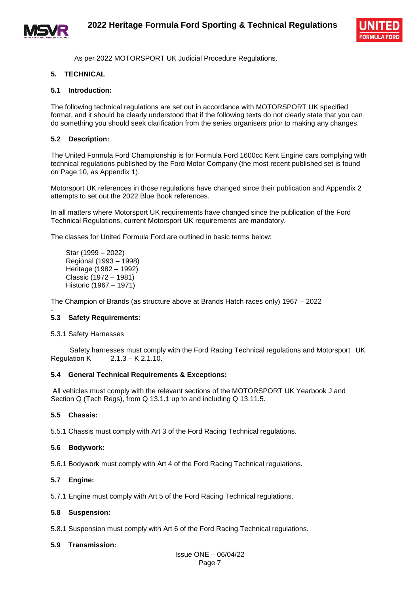



As per 2022 MOTORSPORT UK Judicial Procedure Regulations.

#### **5. TECHNICAL**

#### **5.1 Introduction:**

The following technical regulations are set out in accordance with MOTORSPORT UK specified format, and it should be clearly understood that if the following texts do not clearly state that you can do something you should seek clarification from the series organisers prior to making any changes.

#### **5.2 Description:**

The United Formula Ford Championship is for Formula Ford 1600cc Kent Engine cars complying with technical regulations published by the Ford Motor Company (the most recent published set is found on Page 10, as Appendix 1).

Motorsport UK references in those regulations have changed since their publication and Appendix 2 attempts to set out the 2022 Blue Book references.

In all matters where Motorsport UK requirements have changed since the publication of the Ford Technical Regulations, current Motorsport UK requirements are mandatory.

The classes for United Formula Ford are outlined in basic terms below:

Star (1999 – 2022) Regional (1993 – 1998) Heritage (1982 – 1992) Classic (1972 – 1981) Historic (1967 – 1971)

The Champion of Brands (as structure above at Brands Hatch races only) 1967 – 2022

#### - **5.3 Safety Requirements:**

#### 5.3.1 Safety Harnesses

 Safety harnesses must comply with the Ford Racing Technical regulations and Motorsport UK Regulation K 2.1.3 – K 2.1.10.

#### **5.4 General Technical Requirements & Exceptions:**

All vehicles must comply with the relevant sections of the MOTORSPORT UK Yearbook J and Section Q (Tech Regs), from Q 13.1.1 up to and including Q 13.11.5.

#### **5.5 Chassis:**

5.5.1 Chassis must comply with Art 3 of the Ford Racing Technical regulations.

#### **5.6 Bodywork:**

5.6.1 Bodywork must comply with Art 4 of the Ford Racing Technical regulations.

#### **5.7 Engine:**

5.7.1 Engine must comply with Art 5 of the Ford Racing Technical regulations.

#### **5.8 Suspension:**

5.8.1 Suspension must comply with Art 6 of the Ford Racing Technical regulations.

#### **5.9 Transmission:**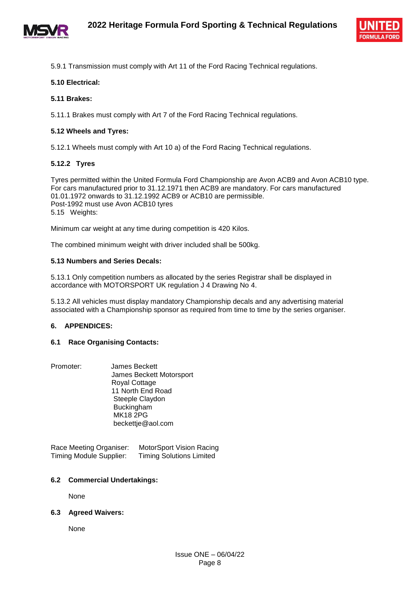



5.9.1 Transmission must comply with Art 11 of the Ford Racing Technical regulations.

#### **5.10 Electrical:**

#### **5.11 Brakes:**

5.11.1 Brakes must comply with Art 7 of the Ford Racing Technical regulations.

#### **5.12 Wheels and Tyres:**

5.12.1 Wheels must comply with Art 10 a) of the Ford Racing Technical regulations.

#### **5.12.2 Tyres**

Tyres permitted within the United Formula Ford Championship are Avon ACB9 and Avon ACB10 type. For cars manufactured prior to 31.12.1971 then ACB9 are mandatory. For cars manufactured 01.01.1972 onwards to 31.12.1992 ACB9 or ACB10 are permissible. Post-1992 must use Avon ACB10 tyres 5.15 Weights:

Minimum car weight at any time during competition is 420 Kilos.

The combined minimum weight with driver included shall be 500kg.

#### **5.13 Numbers and Series Decals:**

5.13.1 Only competition numbers as allocated by the series Registrar shall be displayed in accordance with MOTORSPORT UK regulation J 4 Drawing No 4.

5.13.2 All vehicles must display mandatory Championship decals and any advertising material associated with a Championship sponsor as required from time to time by the series organiser.

#### **6. APPENDICES:**

#### **6.1 Race Organising Contacts:**

Promoter: James Beckett James Beckett Motorsport Royal Cottage 11 North End Road Steeple Claydon **Buckingham**  MK18 2PG beckettje@aol.com

Race Meeting Organiser: MotorSport Vision Racing Timing Module Supplier: Timing Solutions Limited

#### **6.2 Commercial Undertakings:**

None

#### **6.3 Agreed Waivers:**

None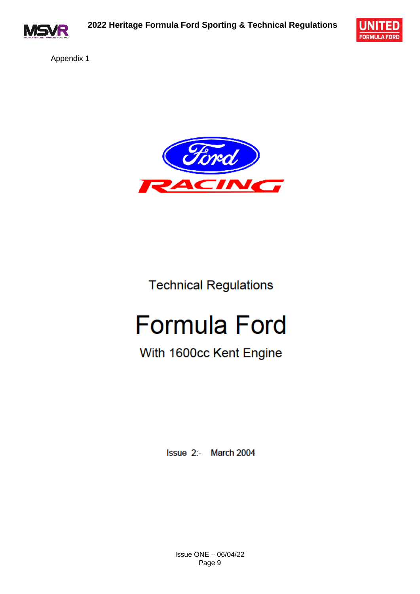



Appendix 1



# **Technical Regulations**

# **Formula Ford**

# With 1600cc Kent Engine

Issue 2:- March 2004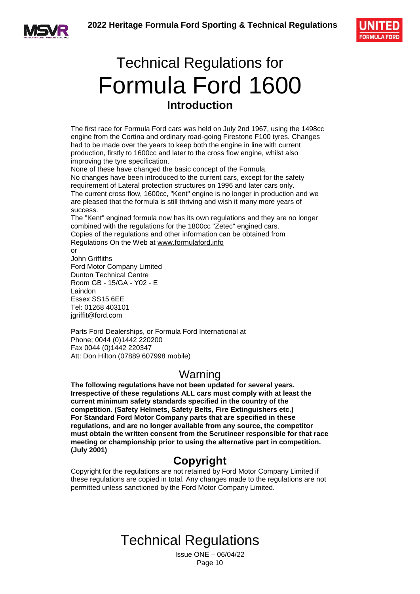



# Technical Regulations for Formula Ford 1600 **Introduction**

The first race for Formula Ford cars was held on July 2nd 1967, using the 1498cc engine from the Cortina and ordinary road-going Firestone F100 tyres. Changes had to be made over the years to keep both the engine in line with current production, firstly to 1600cc and later to the cross flow engine, whilst also improving the tyre specification.

None of these have changed the basic concept of the Formula. No changes have been introduced to the current cars, except for the safety requirement of Lateral protection structures on 1996 and later cars only. The current cross flow, 1600cc, "Kent" engine is no longer in production and we are pleased that the formula is still thriving and wish it many more years of success.

The "Kent" engined formula now has its own regulations and they are no longer combined with the regulations for the 1800cc "Zetec" engined cars. Copies of the regulations and other information can be obtained from Regulations On the Web at www.formulaford.info

 $\alpha$ r John Griffiths Ford Motor Company Limited Dunton Technical Centre Room GB - 15/GA - Y02 - E Laindon Essex SS15 6EE Tel: 01268 403101 [jgriffit@ford.com](mailto:jgriffit@ford.com)

Parts Ford Dealerships, or Formula Ford International at Phone; 0044 (0)1442 220200 Fax 0044 (0)1442 220347 Att: Don Hilton (07889 607998 mobile)

### Warning

**The following regulations have not been updated for several years. Irrespective of these regulations ALL cars must comply with at least the current minimum safety standards specified in the country of the competition. (Safety Helmets, Safety Belts, Fire Extinguishers etc.) For Standard Ford Motor Company parts that are specified in these regulations, and are no longer available from any source, the competitor must obtain the written consent from the Scrutineer responsible for that race meeting or championship prior to using the alternative part in competition. (July 2001)** 

### **Copyright**

Copyright for the regulations are not retained by Ford Motor Company Limited if these regulations are copied in total. Any changes made to the regulations are not permitted unless sanctioned by the Ford Motor Company Limited.

# Technical Regulations

Issue ONE – 06/04/22 Page 10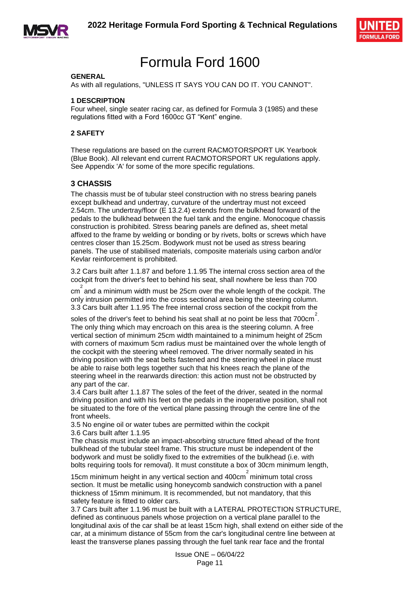



## Formula Ford 1600

#### **GENERAL**

As with all regulations, "UNLESS IT SAYS YOU CAN DO IT. YOU CANNOT".

#### **1 DESCRIPTION**

Four wheel, single seater racing car, as defined for Formula 3 (1985) and these regulations fitted with a Ford 1600cc GT "Kent" engine.

#### **2 SAFETY**

These regulations are based on the current RACMOTORSPORT UK Yearbook (Blue Book). All relevant end current RACMOTORSPORT UK regulations apply. See Appendix 'A' for some of the more specific regulations.

#### **3 CHASSIS**

The chassis must be of tubular steel construction with no stress bearing panels except bulkhead and undertray, curvature of the undertray must not exceed 2.54cm. The undertray/floor (E 13.2.4) extends from the bulkhead forward of the pedals to the bulkhead between the fuel tank and the engine. Monocoque chassis construction is prohibited. Stress bearing panels are defined as, sheet metal affixed to the frame by welding or bonding or by rivets, bolts or screws which have centres closer than 15.25cm. Bodywork must not be used as stress bearing panels. The use of stabilised materials, composite materials using carbon and/or Kevlar reinforcement is prohibited.

3.2 Cars built after 1.1.87 and before 1.1.95 The internal cross section area of the cockpit from the driver's feet to behind his seat, shall nowhere be less than 700

 $\overline{c}$  and a minimum width must be 25cm over the whole length of the cockpit. The only intrusion permitted into the cross sectional area being the steering column. 3.3 Cars built after 1.1.95 The free internal cross section of the cockpit from the

soles of the driver's feet to behind his seat shall at no point be less that  $700 \text{cm}^2$ . The only thing which may encroach on this area is the steering column. A free vertical section of minimum 25cm width maintained to a minimum height of 25cm with corners of maximum 5cm radius must be maintained over the whole length of the cockpit with the steering wheel removed. The driver normally seated in his driving position with the seat belts fastened and the steering wheel in place must be able to raise both legs together such that his knees reach the plane of the steering wheel in the rearwards direction: this action must not be obstructed by any part of the car.

3.4 Cars built after 1.1.87 The soles of the feet of the driver, seated in the normal driving position and with his feet on the pedals in the inoperative position, shall not be situated to the fore of the vertical plane passing through the centre line of the front wheels.

3.5 No engine oil or water tubes are permitted within the cockpit 3.6 Cars built after 1.1.95

The chassis must include an impact-absorbing structure fitted ahead of the front bulkhead of the tubular steel frame. This structure must be independent of the bodywork and must be solidly fixed to the extremities of the bulkhead (i.e. with bolts requiring tools for removal). It must constitute a box of 30cm minimum length,

15cm minimum height in any vertical section and 400cm<sup>2</sup> minimum total cross section. It must be metallic using honeycomb sandwich construction with a panel thickness of 15mm minimum. It is recommended, but not mandatory, that this safety feature is fitted to older cars.

3.7 Cars built after 1.1.96 must be built with a LATERAL PROTECTION STRUCTURE, defined as continuous panels whose projection on a vertical plane parallel to the longitudinal axis of the car shall be at least 15cm high, shall extend on either side of the car, at a minimum distance of 55cm from the car's longitudinal centre line between at least the transverse planes passing through the fuel tank rear face and the frontal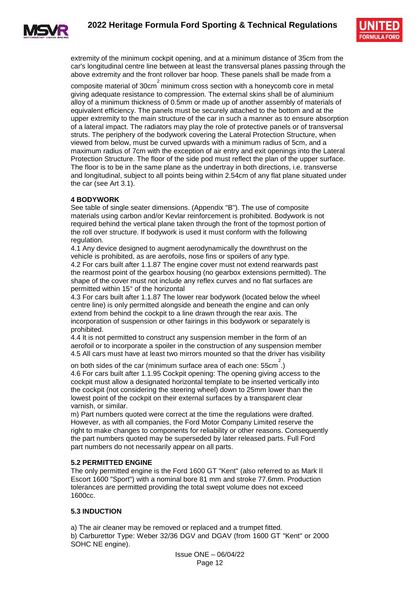



extremity of the minimum cockpit opening, and at a minimum distance of 35cm from the car's longitudinal centre line between at least the transversal planes passing through the above extremity and the front rollover bar hoop. These panels shall be made from a

composite material of  $30 \text{cm}^2$  minimum cross section with a honeycomb core in metal giving adequate resistance to compression. The external skins shall be of aluminium alloy of a minimum thickness of 0.5mm or made up of another assembly of materials of equivalent efficiency. The panels must be securely attached to the bottom and at the upper extremity to the main structure of the car in such a manner as to ensure absorption of a lateral impact. The radiators may play the role of protective panels or of transversal struts. The periphery of the bodywork covering the Lateral Protection Structure, when viewed from below, must be curved upwards with a minimum radius of 5cm, and a maximum radius of 7cm with the exception of air entry and exit openings into the Lateral Protection Structure. The floor of the side pod must reflect the plan of the upper surface. The floor is to be in the same plane as the undertray in both directions, i.e. transverse and longitudinal, subject to all points being within 2.54cm of any flat plane situated under the car (see Art 3.1).

#### **4 BODYWORK**

See table of single seater dimensions. (Appendix "B"). The use of composite materials using carbon and/or Kevlar reinforcement is prohibited. Bodywork is not required behind the vertical plane taken through the front of the topmost portion of the roll over structure. If bodywork is used it must conform with the following regulation.

4.1 Any device designed to augment aerodynamically the downthrust on the vehicle is prohibited, as are aerofoils, nose fins or spoilers of any type. 4.2 For cars built after 1.1.87 The engine cover must not extend rearwards past the rearmost point of the gearbox housing (no gearbox extensions permitted). The shape of the cover must not include any reflex curves and no flat surfaces are permitted within 15° of the horizontal

4.3 For cars built after 1.1.87 The lower rear bodywork (located below the wheel centre line) is only permitted alongside and beneath the engine and can only extend from behind the cockpit to a line drawn through the rear axis. The incorporation of suspension or other fairings in this bodywork or separately is prohibited.

4.4 It is not permitted to construct any suspension member in the form of an aerofoil or to incorporate a spoiler in the construction of any suspension member 4.5 All cars must have at least two mirrors mounted so that the driver has visibility

on both sides of the car (minimum surface area of each one:  $55cm^2$ .) 4.6 For cars built after 1.1.95 Cockpit opening: The opening giving access to the cockpit must allow a designated horizontal template to be inserted vertically into the cockpit (not considering the steering wheel) down to 25mm lower than the lowest point of the cockpit on their external surfaces by a transparent clear varnish, or similar.

m) Part numbers quoted were correct at the time the regulations were drafted. However, as with all companies, the Ford Motor Company Limited reserve the right to make changes to components for reliability or other reasons. Consequently the part numbers quoted may be superseded by later released parts. Full Ford part numbers do not necessarily appear on all parts.

#### **5.2 PERMITTED ENGINE**

The only permitted engine is the Ford 1600 GT "Kent" (also referred to as Mark II Escort 1600 "Sport") with a nominal bore 81 mm and stroke 77.6mm. Production tolerances are permitted providing the total swept volume does not exceed 1600cc.

#### **5.3 INDUCTION**

a) The air cleaner may be removed or replaced and a trumpet fitted.

b) Carburettor Type: Weber 32/36 DGV and DGAV (from 1600 GT "Kent" or 2000 SOHC NE engine).

> Issue ONE – 06/04/22 Page 12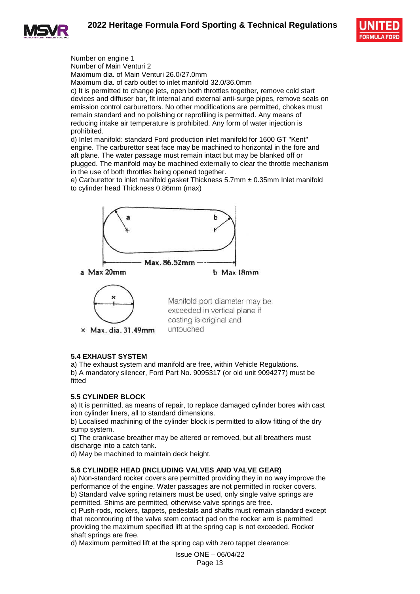



Number on engine 1 Number of Main Venturi 2 Maximum dia. of Main Venturi 26.0/27.0mm Maximum dia. of carb outlet to inlet manifold 32.0/36.0mm c) It is permitted to change jets, open both throttles together, remove cold start devices and diffuser bar, fit internal and external anti-surge pipes, remove seals on emission control carburettors. No other modifications are permitted, chokes must remain standard and no polishing or reprofiling is permitted. Any means of reducing intake air temperature is prohibited. Any form of water injection is prohibited.

d) Inlet manifold: standard Ford production inlet manifold for 1600 GT "Kent" engine. The carburettor seat face may be machined to horizontal in the fore and aft plane. The water passage must remain intact but may be blanked off or plugged. The manifold may be machined externally to clear the throttle mechanism in the use of both throttles being opened together.

e) Carburettor to inlet manifold gasket Thickness  $5.7$ mm  $\pm$  0.35mm Inlet manifold to cylinder head Thickness 0.86mm (max)



#### **5.4 EXHAUST SYSTEM**

a) The exhaust system and manifold are free, within Vehicle Regulations. b) A mandatory silencer, Ford Part No. 9095317 (or old unit 9094277) must be fitted

#### **5.5 CYLINDER BLOCK**

a) It is permitted, as means of repair, to replace damaged cylinder bores with cast iron cylinder liners, all to standard dimensions.

b) Localised machining of the cylinder block is permitted to allow fitting of the dry sump system.

c) The crankcase breather may be altered or removed, but all breathers must discharge into a catch tank.

d) May be machined to maintain deck height.

#### **5.6 CYLINDER HEAD (INCLUDING VALVES AND VALVE GEAR)**

a) Non-standard rocker covers are permitted providing they in no way improve the performance of the engine. Water passages are not permitted in rocker covers. b) Standard valve spring retainers must be used, only single valve springs are permitted. Shims are permitted, otherwise valve springs are free.

c) Push-rods, rockers, tappets, pedestals and shafts must remain standard except that recontouring of the valve stem contact pad on the rocker arm is permitted providing the maximum specified lift at the spring cap is not exceeded. Rocker shaft springs are free.

d) Maximum permitted lift at the spring cap with zero tappet clearance:

Issue ONE – 06/04/22 Page 13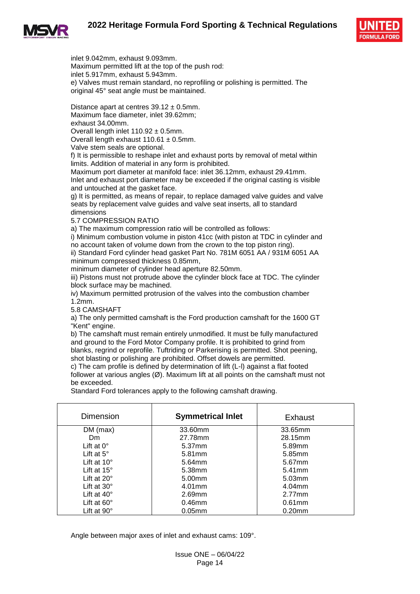



inlet 9.042mm, exhaust 9.093mm. Maximum permitted lift at the top of the push rod: inlet 5.917mm, exhaust 5.943mm. e) Valves must remain standard, no reprofiling or polishing is permitted. The original 45° seat angle must be maintained.

Distance apart at centres  $39.12 \pm 0.5$ mm. Maximum face diameter, inlet 39.62mm; exhaust 34.00mm.

Overall length inlet  $110.92 \pm 0.5$ mm.

Overall length exhaust  $110.61 \pm 0.5$ mm.

Valve stem seals are optional.

f) It is permissible to reshape inlet and exhaust ports by removal of metal within limits. Addition of material in any form is prohibited.

Maximum port diameter at manifold face: inlet 36.12mm, exhaust 29.41mm. Inlet and exhaust port diameter may be exceeded if the original casting is visible and untouched at the gasket face.

g) It is permitted, as means of repair, to replace damaged valve guides and valve seats by replacement valve guides and valve seat inserts, all to standard dimensions

5.7 COMPRESSION RATIO

a) The maximum compression ratio will be controlled as follows:

i) Minimum combustion volume in piston 41cc (with piston at TDC in cylinder and no account taken of volume down from the crown to the top piston ring).

ii) Standard Ford cylinder head gasket Part No. 781M 6051 AA / 931M 6051 AA minimum compressed thickness 0.85mm,

minimum diameter of cylinder head aperture 82.50mm.

iii) Pistons must not protrude above the cylinder block face at TDC. The cylinder block surface may be machined.

iv) Maximum permitted protrusion of the valves into the combustion chamber 1.2mm.

5.8 CAMSHAFT

a) The only permitted camshaft is the Ford production camshaft for the 1600 GT "Kent" engine.

b) The camshaft must remain entirely unmodified. It must be fully manufactured and ground to the Ford Motor Company profile. It is prohibited to grind from blanks, regrind or reprofile. Tuftriding or Parkerising is permitted. Shot peening, shot blasting or polishing are prohibited. Offset dowels are permitted.

c) The cam profile is defined by determination of lift (L-l) against a flat footed follower at various angles (Ø). Maximum lift at all points on the camshaft must not be exceeded.

Standard Ford tolerances apply to the following camshaft drawing.

| Dimension            | <b>Symmetrical Inlet</b> | Exhaust   |
|----------------------|--------------------------|-----------|
| $DM$ (max)           | 33.60mm                  | 33.65mm   |
| Dm.                  | 27.78mm                  | 28.15mm   |
| Lift at $0^\circ$    | 5.37mm                   | 5.89mm    |
| Lift at $5^\circ$    | 5.81mm                   | 5.85mm    |
| Lift at $10^{\circ}$ | 5.64mm                   | 5.67mm    |
| Lift at $15^\circ$   | 5.38mm                   | $5.41$ mm |
| Lift at $20^\circ$   | 5.00mm                   | 5.03mm    |
| Lift at $30^\circ$   | $4.01$ mm                | 4.04mm    |
| Lift at $40^\circ$   | 2.69mm                   | 2.77mm    |
| Lift at $60^\circ$   | $0.46$ mm                | $0.61$ mm |
| Lift at $90^\circ$   | $0.05$ mm                | $0.20$ mm |

Angle between major axes of inlet and exhaust cams: 109°.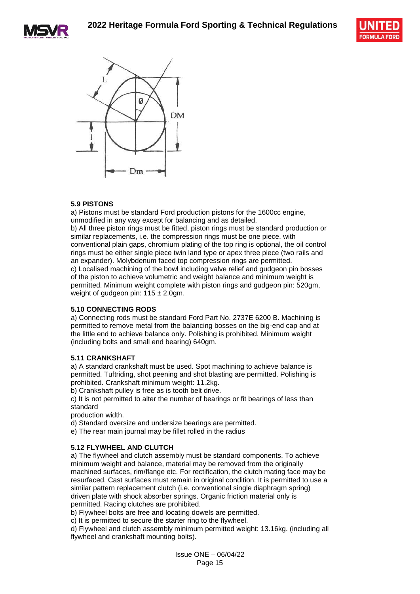





#### **5.9 PISTONS**

a) Pistons must be standard Ford production pistons for the 1600cc engine, unmodified in any way except for balancing and as detailed.

b) All three piston rings must be fitted, piston rings must be standard production or similar replacements, i.e. the compression rings must be one piece, with conventional plain gaps, chromium plating of the top ring is optional, the oil control rings must be either single piece twin land type or apex three piece (two rails and an expander). Molybdenum faced top compression rings are permitted. c) Localised machining of the bowl including valve relief and gudgeon pin bosses of the piston to achieve volumetric and weight balance and minimum weight is permitted. Minimum weight complete with piston rings and gudgeon pin: 520gm, weight of gudgeon pin:  $115 \pm 2.0$ gm.

#### **5.10 CONNECTING RODS**

a) Connecting rods must be standard Ford Part No. 2737E 6200 B. Machining is permitted to remove metal from the balancing bosses on the big-end cap and at the little end to achieve balance only. Polishing is prohibited. Minimum weight (including bolts and small end bearing) 640gm.

#### **5.11 CRANKSHAFT**

a) A standard crankshaft must be used. Spot machining to achieve balance is permitted. Tuftriding, shot peening and shot blasting are permitted. Polishing is prohibited. Crankshaft minimum weight: 11.2kg.

b) Crankshaft pulley is free as is tooth belt drive.

c) It is not permitted to alter the number of bearings or fit bearings of less than standard

production width.

- d) Standard oversize and undersize bearings are permitted.
- e) The rear main journal may be fillet rolled in the radius

#### **5.12 FLYWHEEL AND CLUTCH**

a) The flywheel and clutch assembly must be standard components. To achieve minimum weight and balance, material may be removed from the originally machined surfaces, rim/flange etc. For rectification, the clutch mating face may be resurfaced. Cast surfaces must remain in original condition. It is permitted to use a similar pattern replacement clutch (i.e. conventional single diaphragm spring) driven plate with shock absorber springs. Organic friction material only is permitted. Racing clutches are prohibited.

b) Flywheel bolts are free and locating dowels are permitted.

c) It is permitted to secure the starter ring to the flywheel.

d) Flywheel and clutch assembly minimum permitted weight: 13.16kg. (including all flywheel and crankshaft mounting bolts).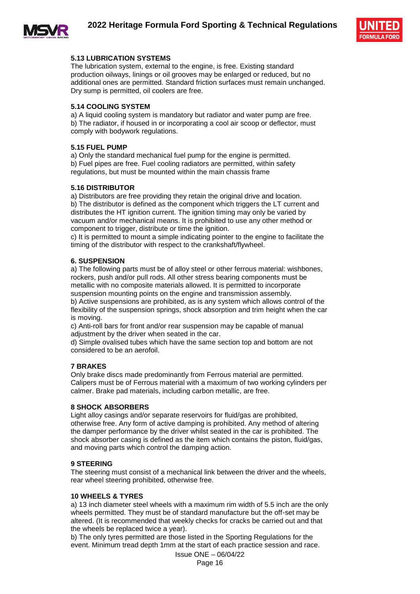



#### **5.13 LUBRICATION SYSTEMS**

The lubrication system, external to the engine, is free. Existing standard production oilways, linings or oil grooves may be enlarged or reduced, but no additional ones are permitted. Standard friction surfaces must remain unchanged. Dry sump is permitted, oil coolers are free.

#### **5.14 COOLING SYSTEM**

a) A liquid cooling system is mandatory but radiator and water pump are free. b) The radiator, if housed in or incorporating a cool air scoop or deflector, must comply with bodywork regulations.

#### **5.15 FUEL PUMP**

a) Only the standard mechanical fuel pump for the engine is permitted. b) Fuel pipes are free. Fuel cooling radiators are permitted, within safety regulations, but must be mounted within the main chassis frame

#### **5.16 DISTRIBUTOR**

a) Distributors are free providing they retain the original drive and location. b) The distributor is defined as the component which triggers the LT current and distributes the HT ignition current. The ignition timing may only be varied by vacuum and/or mechanical means. It is prohibited to use any other method or component to trigger, distribute or time the ignition.

c) It is permitted to mount a simple indicating pointer to the engine to facilitate the timing of the distributor with respect to the crankshaft/flywheel.

#### **6. SUSPENSION**

a) The following parts must be of alloy steel or other ferrous material: wishbones, rockers, push and/or pull rods. All other stress bearing components must be metallic with no composite materials allowed. It is permitted to incorporate suspension mounting points on the engine and transmission assembly.

b) Active suspensions are prohibited, as is any system which allows control of the flexibility of the suspension springs, shock absorption and trim height when the car is moving.

c) Anti-roll bars for front and/or rear suspension may be capable of manual adjustment by the driver when seated in the car.

d) Simple ovalised tubes which have the same section top and bottom are not considered to be an aerofoil.

#### **7 BRAKES**

Only brake discs made predominantly from Ferrous material are permitted. Calipers must be of Ferrous material with a maximum of two working cylinders per calmer. Brake pad materials, including carbon metallic, are free.

#### **8 SHOCK ABSORBERS**

Light alloy casings and/or separate reservoirs for fluid/gas are prohibited, otherwise free. Any form of active damping is prohibited. Any method of altering the damper performance by the driver whilst seated in the car is prohibited. The shock absorber casing is defined as the item which contains the piston, fluid/gas, and moving parts which control the damping action.

#### **9 STEERING**

The steering must consist of a mechanical link between the driver and the wheels, rear wheel steering prohibited, otherwise free.

#### **10 WHEELS & TYRES**

a) 13 inch diameter steel wheels with a maximum rim width of 5.5 inch are the only wheels permitted. They must be of standard manufacture but the off-set may be altered. (It is recommended that weekly checks for cracks be carried out and that the wheels be replaced twice a year).

b) The only tyres permitted are those listed in the Sporting Regulations for the event. Minimum tread depth 1mm at the start of each practice session and race.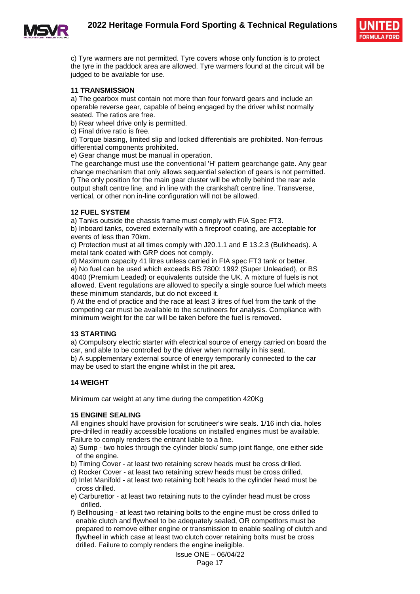

c) Tyre warmers are not permitted. Tyre covers whose only function is to protect the tyre in the paddock area are allowed. Tyre warmers found at the circuit will be judged to be available for use.

#### **11 TRANSMISSION**

a) The gearbox must contain not more than four forward gears and include an operable reverse gear, capable of being engaged by the driver whilst normally seated. The ratios are free.

b) Rear wheel drive only is permitted.

c) Final drive ratio is free.

d) Torque biasing, limited slip and locked differentials are prohibited. Non-ferrous differential components prohibited.

e) Gear change must be manual in operation.

The gearchange must use the conventional 'H' pattern gearchange gate. Any gear change mechanism that only allows sequential selection of gears is not permitted. f) The only position for the main gear cluster will be wholly behind the rear axle output shaft centre line, and in line with the crankshaft centre line. Transverse, vertical, or other non in-line configuration will not be allowed.

#### **12 FUEL SYSTEM**

a) Tanks outside the chassis frame must comply with FIA Spec FT3.

b) Inboard tanks, covered externally with a fireproof coating, are acceptable for events of less than 70km.

c) Protection must at all times comply with J20.1.1 and E 13.2.3 (Bulkheads). A metal tank coated with GRP does not comply.

d) Maximum capacity 41 litres unless carried in FIA spec FT3 tank or better.

e) No fuel can be used which exceeds BS 7800: 1992 (Super Unleaded), or BS 4040 (Premium Leaded) or equivalents outside the UK. A mixture of fuels is not allowed. Event regulations are allowed to specify a single source fuel which meets these minimum standards, but do not exceed it.

f) At the end of practice and the race at least 3 litres of fuel from the tank of the competing car must be available to the scrutineers for analysis. Compliance with minimum weight for the car will be taken before the fuel is removed.

#### **13 STARTING**

a) Compulsory electric starter with electrical source of energy carried on board the car, and able to be controlled by the driver when normally in his seat. b) A supplementary external source of energy temporarily connected to the car may be used to start the engine whilst in the pit area.

#### **14 WEIGHT**

Minimum car weight at any time during the competition 420Kg

#### **15 ENGINE SEALING**

All engines should have provision for scrutineer's wire seals. 1/16 inch dia. holes pre-drilled in readily accessible locations on installed engines must be available. Failure to comply renders the entrant liable to a fine.

- a) Sump two holes through the cylinder block/ sump joint flange, one either side of the engine.
- b) Timing Cover at least two retaining screw heads must be cross drilled.
- c) Rocker Cover at least two retaining screw heads must be cross drilled.
- d) Inlet Manifold at least two retaining bolt heads to the cylinder head must be cross drilled.
- e) Carburettor at least two retaining nuts to the cylinder head must be cross drilled.
- f) Bellhousing at least two retaining bolts to the engine must be cross drilled to enable clutch and flywheel to be adequately sealed, OR competitors must be prepared to remove either engine or transmission to enable sealing of clutch and flywheel in which case at least two clutch cover retaining bolts must be cross drilled. Failure to comply renders the engine ineligible.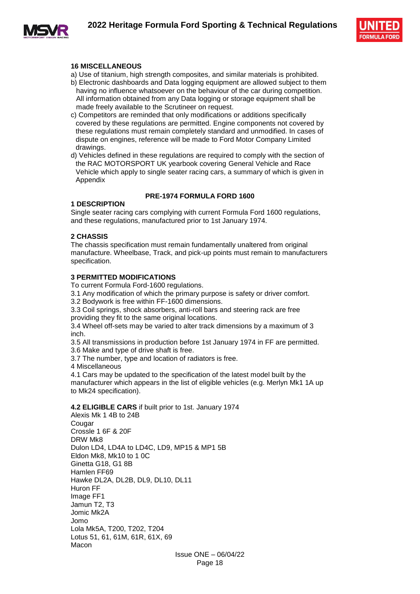



#### **16 MISCELLANEOUS**

- a) Use of titanium, high strength composites, and similar materials is prohibited.
- b) Electronic dashboards and Data logging equipment are allowed subject to them having no influence whatsoever on the behaviour of the car during competition. All information obtained from any Data logging or storage equipment shall be made freely available to the Scrutineer on request.
- c) Competitors are reminded that only modifications or additions specifically covered by these regulations are permitted. Engine components not covered by these regulations must remain completely standard and unmodified. In cases of dispute on engines, reference will be made to Ford Motor Company Limited drawings.
- d) Vehicles defined in these regulations are required to comply with the section of the RAC MOTORSPORT UK yearbook covering General Vehicle and Race Vehicle which apply to single seater racing cars, a summary of which is given in Appendix

#### **PRE-1974 FORMULA FORD 1600**

#### **1 DESCRIPTION**

Single seater racing cars complying with current Formula Ford 1600 regulations, and these regulations, manufactured prior to 1st January 1974.

#### **2 CHASSIS**

The chassis specification must remain fundamentally unaltered from original manufacture. Wheelbase, Track, and pick-up points must remain to manufacturers specification.

#### **3 PERMITTED MODIFICATIONS**

To current Formula Ford-1600 regulations.

- 3.1 Any modification of which the primary purpose is safety or driver comfort.
- 3.2 Bodywork is free within FF-1600 dimensions.

3.3 Coil springs, shock absorbers, anti-roll bars and steering rack are free providing they fit to the same original locations.

3.4 Wheel off-sets may be varied to alter track dimensions by a maximum of 3 inch.

3.5 All transmissions in production before 1st January 1974 in FF are permitted. 3.6 Make and type of drive shaft is free.

3.7 The number, type and location of radiators is free.

4 Miscellaneous

4.1 Cars may be updated to the specification of the latest model built by the manufacturer which appears in the list of eligible vehicles (e.g. Merlyn Mk1 1A up to Mk24 specification).

#### **4.2 ELIGIBLE CARS** if built prior to 1st. January 1974

Alexis Mk 1 4B to 24B **Cougar** Crossle 1 6F & 20F DRW Mk8 Dulon LD4, LD4A to LD4C, LD9, MP15 & MP1 5B Eldon Mk8, Mk10 to 1 0C Ginetta G18, G1 8B Hamlen FF69 Hawke DL2A, DL2B, DL9, DL10, DL11 Huron FF Image FF1 Jamun T2, T3 Jomic Mk2A Jomo Lola Mk5A, T200, T202, T204 Lotus 51, 61, 61M, 61R, 61X, 69 Macon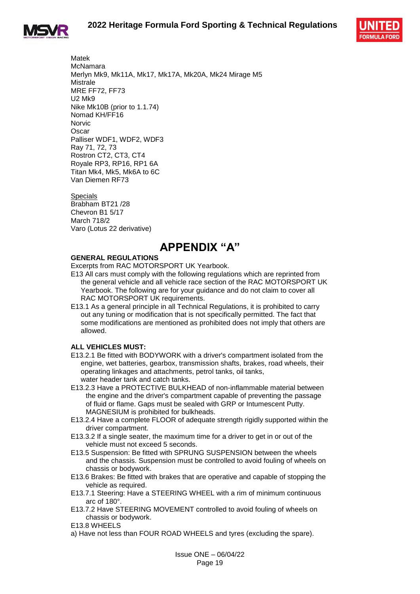



Matek McNamara Merlyn Mk9, Mk11A, Mk17, Mk17A, Mk20A, Mk24 Mirage M5 **Mistrale** MRE FF72, FF73 U2 Mk9 Nike Mk10B (prior to 1.1.74) Nomad KH/FF16 **Norvic Oscar** Palliser WDF1, WDF2, WDF3 Ray 71, 72, 73 Rostron CT2, CT3, CT4 Royale RP3, RP16, RP1 6A Titan Mk4, Mk5, Mk6A to 6C Van Diemen RF73

Specials Brabham BT21 /28 Chevron B1 5/17 March 718/2 Varo (Lotus 22 derivative)

### **APPENDIX "A"**

#### **GENERAL REGULATIONS**

Excerpts from RAC MOTORSPORT UK Yearbook.

- E13 All cars must comply with the following regulations which are reprinted from the general vehicle and all vehicle race section of the RAC MOTORSPORT UK Yearbook. The following are for your guidance and do not claim to cover all RAC MOTORSPORT UK requirements.
- E13.1 As a general principle in all Technical Regulations, it is prohibited to carry out any tuning or modification that is not specifically permitted. The fact that some modifications are mentioned as prohibited does not imply that others are allowed.

#### **ALL VEHICLES MUST:**

- E13.2.1 Be fitted with BODYWORK with a driver's compartment isolated from the engine, wet batteries, gearbox, transmission shafts, brakes, road wheels, their operating linkages and attachments, petrol tanks, oil tanks, water header tank and catch tanks.
- E13.2.3 Have a PROTECTIVE BULKHEAD of non-inflammable material between the engine and the driver's compartment capable of preventing the passage of fluid or flame. Gaps must be sealed with GRP or Intumescent Putty. MAGNESIUM is prohibited for bulkheads.
- E13.2.4 Have a complete FLOOR of adequate strength rigidly supported within the driver compartment.
- E13.3.2 If a single seater, the maximum time for a driver to get in or out of the vehicle must not exceed 5 seconds.
- E13.5 Suspension: Be fitted with SPRUNG SUSPENSION between the wheels and the chassis. Suspension must be controlled to avoid fouling of wheels on chassis or bodywork.
- E13.6 Brakes: Be fitted with brakes that are operative and capable of stopping the vehicle as required.
- E13.7.1 Steering: Have a STEERING WHEEL with a rim of minimum continuous arc of 180°.
- E13.7.2 Have STEERING MOVEMENT controlled to avoid fouling of wheels on chassis or bodywork.
- E13.8 WHEELS
- a) Have not less than FOUR ROAD WHEELS and tyres (excluding the spare).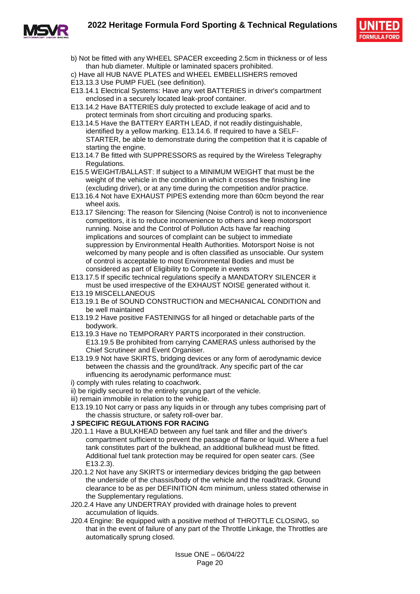#### **2022 Heritage Formula Ford Sporting & Technical Regulations**



- - b) Not be fitted with any WHEEL SPACER exceeding 2.5cm in thickness or of less than hub diameter. Multiple or laminated spacers prohibited.
	- c) Have all HUB NAVE PLATES and WHEEL EMBELLISHERS removed
	- E13.13.3 Use PUMP FUEL (see definition).
	- E13.14.1 Electrical Systems: Have any wet BATTERIES in driver's compartment enclosed in a securely located leak-proof container.
	- E13.14.2 Have BATTERIES duly protected to exclude leakage of acid and to protect terminals from short circuiting and producing sparks.
	- E13.14.5 Have the BATTERY EARTH LEAD, if not readily distinguishable, identified by a yellow marking. E13.14.6. If required to have a SELF-STARTER, be able to demonstrate during the competition that it is capable of starting the engine.
	- E13.14.7 Be fitted with SUPPRESSORS as required by the Wireless Telegraphy Regulations.
	- E15.5 WEIGHT/BALLAST: If subject to a MINIMUM WEIGHT that must be the weight of the vehicle in the condition in which it crosses the finishing line (excluding driver), or at any time during the competition and/or practice.
	- E13.16.4 Not have EXHAUST PIPES extending more than 60cm beyond the rear wheel axis.
	- E13.17 Silencing: The reason for Silencing (Noise Control) is not to inconvenience competitors, it is to reduce inconvenience to others and keep motorsport running. Noise and the Control of Pollution Acts have far reaching implications and sources of complaint can be subject to immediate suppression by Environmental Health Authorities. Motorsport Noise is not welcomed by many people and is often classified as unsociable. Our system of control is acceptable to most Environmental Bodies and must be considered as part of Eligibility to Compete in events
	- E13.17.5 If specific technical regulations specify a MANDATORY SILENCER it must be used irrespective of the EXHAUST NOISE generated without it.
	- E13.19 MISCELLANEOUS
	- E13.19.1 Be of SOUND CONSTRUCTION and MECHANICAL CONDITION and be well maintained
	- E13.19.2 Have positive FASTENINGS for all hinged or detachable parts of the bodywork.
	- E13.19.3 Have no TEMPORARY PARTS incorporated in their construction. E13.19.5 Be prohibited from carrying CAMERAS unless authorised by the Chief Scrutineer and Event Organiser.
	- E13.19.9 Not have SKIRTS, bridging devices or any form of aerodynamic device between the chassis and the ground/track. Any specific part of the car influencing its aerodynamic performance must:
	- i) comply with rules relating to coachwork.
	- ii) be rigidly secured to the entirely sprung part of the vehicle.
	- iii) remain immobile in relation to the vehicle.
	- E13.19.10 Not carry or pass any liquids in or through any tubes comprising part of the chassis structure, or safety roll-over bar.

#### **J SPECIFIC REGULATIONS FOR RACING**

- J20.1.1 Have a BULKHEAD between any fuel tank and filler and the driver's compartment sufficient to prevent the passage of flame or liquid. Where a fuel tank constitutes part of the bulkhead, an additional bulkhead must be fitted. Additional fuel tank protection may be required for open seater cars. (See E13.2.3).
- J20.1.2 Not have any SKIRTS or intermediary devices bridging the gap between the underside of the chassis/body of the vehicle and the road/track. Ground clearance to be as per DEFINITION 4cm minimum, unless stated otherwise in the Supplementary regulations.
- J20.2.4 Have any UNDERTRAY provided with drainage holes to prevent accumulation of liquids.
- J20.4 Engine: Be equipped with a positive method of THROTTLE CLOSING, so that in the event of failure of any part of the Throttle Linkage, the Throttles are automatically sprung closed.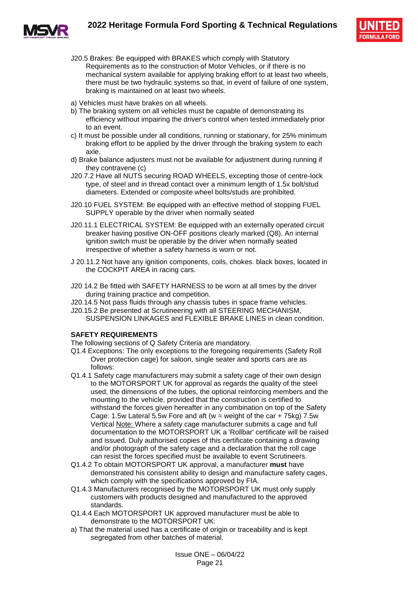



- J20.5 Brakes: Be equipped with BRAKES which comply with Statutory Requirements as to the construction of Motor Vehicles, or if there is no mechanical system available for applying braking effort to at least two wheels, there must be two hydraulic systems so that, in event of failure of one system, braking is maintained on at least two wheels.
- a) Vehicles must have brakes on all wheels.
- b) The braking system on all vehicles must be capable of demonstrating its efficiency without impairing the driver's control when tested immediately prior to an event.
- c) It must be possible under all conditions, running or stationary, for 25% minimum braking effort to be applied by the driver through the braking system to each axle.
- d) Brake balance adjusters must not be available for adjustment during running if they contravene (c)
- J20.7.2 Have all NUTS securing ROAD WHEELS, excepting those of centre-lock type, of steel and in thread contact over a minimum length of 1.5x bolt/stud diameters. Extended or composite wheel bolts/studs are prohibited.
- J20.10 FUEL SYSTEM: Be equipped with an effective method of stopping FUEL SUPPLY operable by the driver when normally seated
- J20.11.1 ELECTRICAL SYSTEM: Be equipped with an externally operated circuit breaker having positive ON-OFF positions clearly marked (Q8). An internal ignition switch must be operable by the driver when normally seated irrespective of whether a safety harness is worn or not.
- J 20.11.2 Not have any ignition components, coils, chokes. black boxes, located in the COCKPIT AREA in racing cars.
- J20 14.2 Be fitted with SAFETY HARNESS to be worn at all times by the driver during training practice and competition.
- J20.14.5 Not pass fluids through any chassis tubes in space frame vehicles.
- J20.15.2 Be presented at Scrutineering with all STEERING MECHANISM, SUSPENSION LINKAGES and FLEXIBLE BRAKE LINES in clean condition.

#### **SAFETY REQUIREMENTS**

The following sections of Q Safety Criteria are mandatory.

- Q1.4 Exceptions: The only exceptions to the foregoing requirements (Safety Roll Over protection cage) for saloon, single seater and sports cars are as follows:
- Q1.4.1 Safety cage manufacturers may submit a safety cage of their own design to the MOTORSPORT UK for approval as regards the quality of the steel used, the dimensions of the tubes, the optional reinforcing members and the mounting to the vehicle, provided that the construction is certified to withstand the forces given hereafter in any combination on top of the Safety Cage: 1.5w Lateral 5.5w Fore and aft ( $w = weight$  of the car + 75kg) 7.5w Vertical Note: Where a safety cage manufacturer submits a cage and full documentation to the MOTORSPORT UK a 'Rollbar' certificate will be raised and issued. Duly authorised copies of this certificate containing a drawing and/or photograph of the safety cage and a declaration that the roll cage can resist the forces specified must be available to event Scrutineers.
- Q1.4.2 To obtain MOTORSPORT UK approval, a manufacturer **must** have demonstrated his consistent ability to design and manufacture safety cages, which comply with the specifications approved by FIA.
- Q1.4.3 Manufacturers recognised by the MOTORSPORT UK must only supply customers with products designed and manufactured to the approved standards.
- Q1.4.4 Each MOTORSPORT UK approved manufacturer must be able to demonstrate to the MOTORSPORT UK:
- a) That the material used has a certificate of origin or traceability and is kept segregated from other batches of material.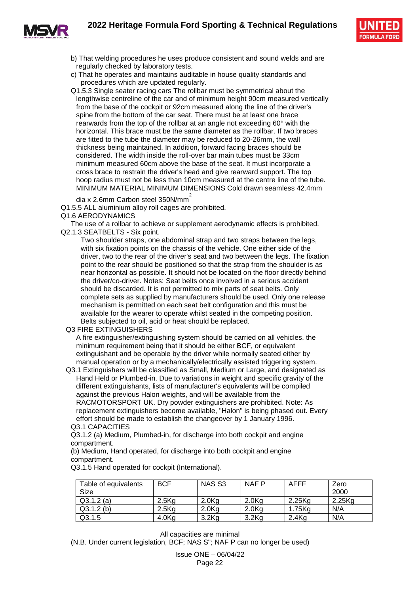



- b) That welding procedures he uses produce consistent and sound welds and are regularly checked by laboratory tests.
- c) That he operates and maintains auditable in house quality standards and procedures which are updated regularly.
- Q1.5.3 Single seater racing cars The rollbar must be symmetrical about the lengthwise centreline of the car and of minimum height 90cm measured vertically from the base of the cockpit or 92cm measured along the line of the driver's spine from the bottom of the car seat. There must be at least one brace rearwards from the top of the rollbar at an angle not exceeding 60° with the horizontal. This brace must be the same diameter as the rollbar. If two braces are fitted to the tube the diameter may be reduced to 20-26mm, the wall thickness being maintained. In addition, forward facing braces should be considered. The width inside the roll-over bar main tubes must be 33cm minimum measured 60cm above the base of the seat. It must incorporate a cross brace to restrain the driver's head and give rearward support. The top hoop radius must not be less than 10cm measured at the centre line of the tube. MINIMUM MATERIAL MINIMUM DIMENSIONS Cold drawn seamless 42.4mm

dia x 2.6mm Carbon steel 350N/mm $^{2}$ 

Q1.5.5 ALL aluminium alloy roll cages are prohibited.

Q1.6 AERODYNAMICS

The use of a rollbar to achieve or supplement aerodynamic effects is prohibited. Q2.1.3 SEATBELTS - Six point.

Two shoulder straps, one abdominal strap and two straps between the legs, with six fixation points on the chassis of the vehicle. One either side of the driver, two to the rear of the driver's seat and two between the legs. The fixation point to the rear should be positioned so that the strap from the shoulder is as near horizontal as possible. It should not be located on the floor directly behind the driver/co-driver. Notes: Seat belts once involved in a serious accident should be discarded. It is not permitted to mix parts of seat belts. Only complete sets as supplied by manufacturers should be used. Only one release mechanism is permitted on each seat belt configuration and this must be available for the wearer to operate whilst seated in the competing position.

Belts subjected to oil, acid or heat should be replaced.

Q3 FIRE EXTINGUISHERS

A fire extinguisher/extinguishing system should be carried on all vehicles, the minimum requirement being that it should be either BCF, or equivalent extinguishant and be operable by the driver while normally seated either by manual operation or by a mechanically/electrically assisted triggering system.

Q3.1 Extinguishers will be classified as Small, Medium or Large, and designated as Hand Held or Plumbed-in. Due to variations in weight and specific gravity of the different extinguishants, lists of manufacturer's equivalents will be compiled against the previous Halon weights, and will be available from the RACMOTORSPORT UK. Dry powder extinguishers are prohibited. Note: As replacement extinguishers become available, "Halon" is being phased out. Every effort should be made to establish the changeover by 1 January 1996. Q3.1 CAPACITIES

Q3.1.2 (a) Medium, Plumbed-in, for discharge into both cockpit and engine compartment.

(b) Medium, Hand operated, for discharge into both cockpit and engine compartment.

Q3.1.5 Hand operated for cockpit (International).

| Table of equivalents | <b>BCF</b>        | NAS S <sub>3</sub> | NAF P    | <b>AFFF</b> | Zero   |
|----------------------|-------------------|--------------------|----------|-------------|--------|
| Size                 |                   |                    |          |             | 2000   |
| $Q3.1.2$ (a)         | 2.5K <sub>q</sub> | 2.0 <sub>Kg</sub>  | $2.0$ Ka | 2.25Kg      | 2.25Kg |
| $Q3.1.2$ (b)         | $2.5$ Ka          | 2.0 <sub>Kq</sub>  | $2.0$ Ka | 1.75Ka      | N/A    |
| Q3.1.5               | 4.0 <sub>Kg</sub> | $3.2$ Ka           | $3.2$ Ka | $2.4$ Kg    | N/A    |

All capacities are minimal (N.B. Under current legislation, BCF; NAS S"; NAF P can no longer be used)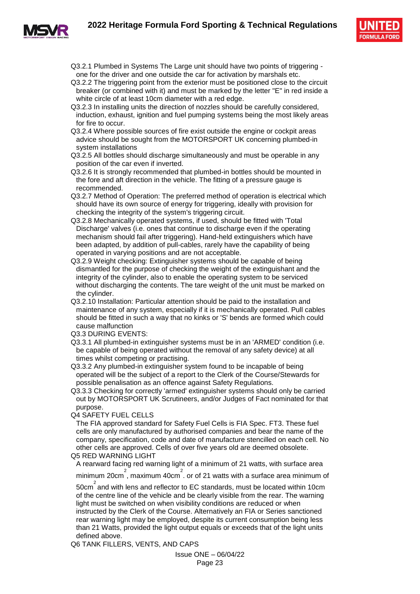

- Q3.2.1 Plumbed in Systems The Large unit should have two points of triggering one for the driver and one outside the car for activation by marshals etc.
- Q3.2.2 The triggering point from the exterior must be positioned close to the circuit breaker (or combined with it) and must be marked by the letter "E" in red inside a white circle of at least 10cm diameter with a red edge.
- Q3.2.3 In installing units the direction of nozzles should be carefully considered, induction, exhaust, ignition and fuel pumping systems being the most likely areas for fire to occur.
- Q3.2.4 Where possible sources of fire exist outside the engine or cockpit areas advice should be sought from the MOTORSPORT UK concerning plumbed-in system installations
- Q3.2.5 All bottles should discharge simultaneously and must be operable in any position of the car even if inverted.
- Q3.2.6 It is strongly recommended that plumbed-in bottles should be mounted in the fore and aft direction in the vehicle. The fitting of a pressure gauge is recommended.
- Q3.2.7 Method of Operation: The preferred method of operation is electrical which should have its own source of energy for triggering, ideally with provision for checking the integrity of the system's triggering circuit.
- Q3.2.8 Mechanically operated systems, if used, should be fitted with 'Total Discharge' valves (i.e. ones that continue to discharge even if the operating mechanism should fail after triggering). Hand-held extinguishers which have been adapted, by addition of pull-cables, rarely have the capability of being operated in varying positions and are not acceptable.
- Q3.2.9 Weight checking: Extinguisher systems should be capable of being dismantled for the purpose of checking the weight of the extinguishant and the integrity of the cylinder, also to enable the operating system to be serviced without discharging the contents. The tare weight of the unit must be marked on the cylinder.
- Q3.2.10 Installation: Particular attention should be paid to the installation and maintenance of any system, especially if it is mechanically operated. Pull cables should be fitted in such a way that no kinks or 'S' bends are formed which could cause malfunction
- Q3.3 DURING EVENTS:
- Q3.3.1 All plumbed-in extinguisher systems must be in an 'ARMED' condition (i.e. be capable of being operated without the removal of any safety device) at all times whilst competing or practising.
- Q3.3.2 Any plumbed-in extinguisher system found to be incapable of being operated will be the subject of a report to the Clerk of the Course/Stewards for possible penalisation as an offence against Safety Regulations.

Q3.3.3 Checking for correctly 'armed' extinguisher systems should only be carried out by MOTORSPORT UK Scrutineers, and/or Judges of Fact nominated for that purpose.

Q4 SAFETY FUEL CELLS

The FIA approved standard for Safety Fuel Cells is FIA Spec. FT3. These fuel cells are only manufactured by authorised companies and bear the name of the company, specification, code and date of manufacture stencilled on each cell. No other cells are approved. Cells of over five years old are deemed obsolete. Q5 RED WARNING LIGHT

A rearward facing red warning light of a minimum of 21 watts, with surface area

minimum 20cm<sup>2</sup>, maximum 40cm<sup>2</sup>. or of 21 watts with a surface area minimum of

50cm $^{2}$  and with lens and reflector to EC standards, must be located within 10cm of the centre line of the vehicle and be clearly visible from the rear. The warning light must be switched on when visibility conditions are reduced or when

instructed by the Clerk of the Course. Alternatively an FIA or Series sanctioned rear warning light may be employed, despite its current consumption being less than 21 Watts, provided the light output equals or exceeds that of the light units defined above.

Q6 TANK FILLERS, VENTS, AND CAPS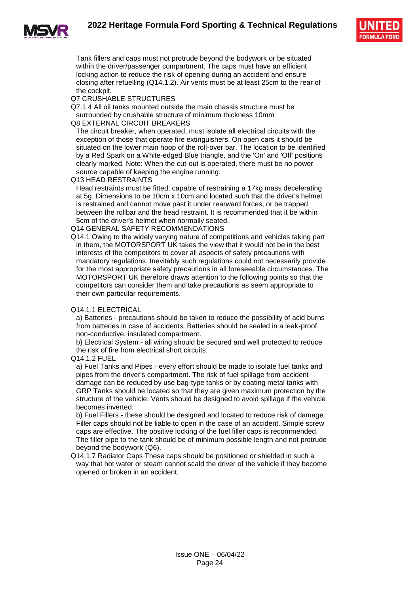

Tank fillers and caps must not protrude beyond the bodywork or be situated within the driver/passenger compartment. The caps must have an efficient locking action to reduce the risk of opening during an accident and ensure closing after refuelling (Q14.1.2). Air vents must be at least 25cm to the rear of the cockpit.

#### Q7 CRUSHABLE STRUCTURES

Q7.1.4 All oil tanks mounted outside the main chassis structure must be surrounded by crushable structure of minimum thickness 10mm

#### Q8 EXTERNAL CIRCUIT BREAKERS

The circuit breaker, when operated, must isolate all electrical circuits with the exception of those that operate fire extinguishers. On open cars it should be situated on the lower main hoop of the roll-over bar. The location to be identified by a Red Spark on a White-edged Blue triangle, and the 'On' and 'Off' positions clearly marked. Note: When the cut-out is operated, there must be no power source capable of keeping the engine running.

Q13 HEAD RESTRAINTS

Head restraints must be fitted, capable of restraining a 17kg mass decelerating at 5g. Dimensions to be 10cm x 10cm and located such that the driver's helmet is restrained and cannot move past it under rearward forces, or be trapped between the rollbar and the head restraint. It is recommended that it be within 5cm of the driver's helmet when normally seated.

Q14 GENERAL SAFETY RECOMMENDATIONS

Q14.1 Owing to the widely varying nature of competitions and vehicles taking part in them, the MOTORSPORT UK takes the view that it would not be in the best interests of the competitors to cover all aspects of safety precautions with mandatory regulations. Inevitably such regulations could not necessarily provide for the most appropriate safety precautions in all foreseeable circumstances. The MOTORSPORT UK therefore draws attention to the following points so that the competitors can consider them and take precautions as seem appropriate to their own particular requirements.

#### Q14.1.1 ELECTRICAL

a) Batteries - precautions should be taken to reduce the possibility of acid burns from batteries in case of accidents. Batteries should be sealed in a leak-proof, non-conductive, insulated compartment.

b) Electrical System - all wiring should be secured and well protected to reduce the risk of fire from electrical short circuits.

#### Q14.1.2 FUEL

a) Fuel Tanks and Pipes - every effort should be made to isolate fuel tanks and pipes from the driver's compartment. The risk of fuel spillage from accident damage can be reduced by use bag-type tanks or by coating metal tanks with GRP Tanks should be located so that they are given maximum protection by the structure of the vehicle. Vents should be designed to avoid spillage if the vehicle becomes inverted.

b) Fuel Fillers - these should be designed and located to reduce risk of damage. Filler caps should not be liable to open in the case of an accident. Simple screw caps are effective. The positive locking of the fuel filler caps is recommended. The filler pipe to the tank should be of minimum possible length and not protrude beyond the bodywork (Q6).

Q14.1.7 Radiator Caps These caps should be positioned or shielded in such a way that hot water or steam cannot scald the driver of the vehicle if they become opened or broken in an accident.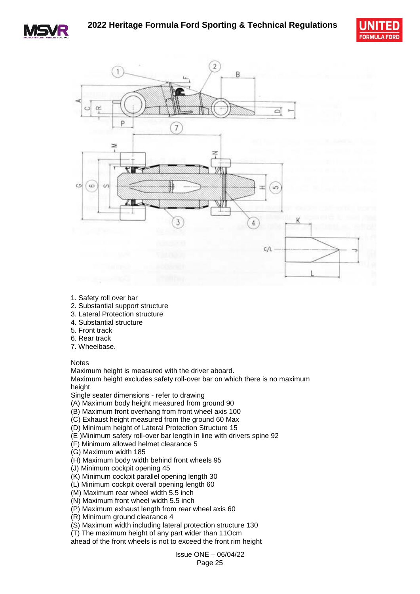





- 1. Safety roll over bar
- 2. Substantial support structure
- 3. Lateral Protection structure
- 4. Substantial structure
- 5. Front track
- 6. Rear track
- 7. Wheelbase.

**Notes** 

Maximum height is measured with the driver aboard.

Maximum height excludes safety roll-over bar on which there is no maximum height

Single seater dimensions - refer to drawing

(A) Maximum body height measured from ground 90

- (B) Maximum front overhang from front wheel axis 100
- (C) Exhaust height measured from the ground 60 Max

(D) Minimum height of Lateral Protection Structure 15

- (E )Minimum safety roll-over bar length in line with drivers spine 92
- (F) Minimum allowed helmet clearance 5
- (G) Maximum width 185
- (H) Maximum body width behind front wheels 95
- (J) Minimum cockpit opening 45
- (K) Minimum cockpit parallel opening length 30
- (L) Minimum cockpit overall opening length 60
- (M) Maximum rear wheel width 5.5 inch
- (N) Maximum front wheel width 5.5 inch
- (P) Maximum exhaust length from rear wheel axis 60
- (R) Minimum ground clearance 4

(S) Maximum width including lateral protection structure 130

(T) The maximum height of any part wider than 11Ocm

ahead of the front wheels is not to exceed the front rim height

Issue ONE – 06/04/22 Page 25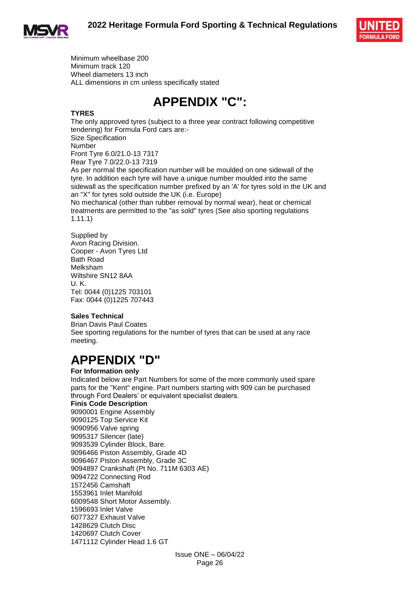





Minimum wheelbase 200 Minimum track 120 Wheel diameters 13 inch ALL dimensions in cm unless specifically stated

### **APPENDIX "C":**

#### **TYRES**

The only approved tyres (subject to a three year contract following competitive tendering) for Formula Ford cars are:- Size Specification Number Front Tyre 6.0/21.0-13 7317 Rear Tyre 7.0/22.0-13 7319 As per normal the specification number will be moulded on one sidewall of the tyre. In addition each tyre will have a unique number moulded into the same

sidewall as the specification number prefixed by an 'A' for tyres sold in the UK and an "X" for tyres sold outside the UK (i.e. Europe)

No mechanical (other than rubber removal by normal wear), heat or chemical treatments are permitted to the "as sold" tyres (See also sporting regulations 1.11.1)

Supplied by Avon Racing Division. Cooper - Avon Tyres Ltd Bath Road Melksham Wiltshire SN12 8AA U. K. Tel: 0044 (0)1225 703101 Fax: 0044 (0)1225 707443

#### **Sales Technical**

Brian Davis Paul Coates See sporting regulations for the number of tyres that can be used at any race meeting.

### **APPENDIX "D"**

#### **For Information only**

Indicated below are Part Numbers for some of the more commonly used spare parts for the "Kent" engine. Part numbers starting with 909 can be purchased through Ford Dealers' or equivalent specialist dealers.

#### **Finis Code Description**

9090001 Engine Assembly 9090125 Top Service Kit 9090956 Valve spring 9095317 Silencer (late) 9093539 Cylinder Block, Bare. 9096466 Piston Assembly, Grade 4D 9096467 Piston Assembly, Grade 3C 9094897 Crankshaft (Pt No. 711M 6303 AE) 9094722 Connecting Rod 1572456 Camshaft 1553961 Inlet Manifold 6009548 Short Motor Assembly. 1596693 Inlet Valve 6077327 Exhaust Valve 1428629 Clutch Disc 1420697 Clutch Cover 1471112 Cylinder Head 1.6 GT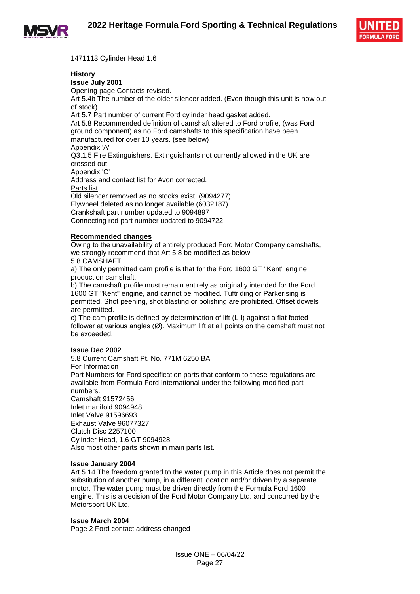



1471113 Cylinder Head 1.6

#### **History**

**Issue July 2001**  Opening page Contacts revised. Art 5.4b The number of the older silencer added. (Even though this unit is now out of stock) Art 5.7 Part number of current Ford cylinder head gasket added. Art 5.8 Recommended definition of camshaft altered to Ford profile, (was Ford ground component) as no Ford camshafts to this specification have been manufactured for over 10 years. (see below) Appendix 'A' Q3.1.5 Fire Extinguishers. Extinguishants not currently allowed in the UK are crossed out. Appendix 'C' Address and contact list for Avon corrected. Parts list Old silencer removed as no stocks exist. (9094277) Flywheel deleted as no longer available (6032187) Crankshaft part number updated to 9094897 Connecting rod part number updated to 9094722

#### **Recommended changes**

Owing to the unavailability of entirely produced Ford Motor Company camshafts, we strongly recommend that Art 5.8 be modified as below:-

5.8 CAMSHAFT

a) The only permitted cam profile is that for the Ford 1600 GT "Kent" engine production camshaft.

b) The camshaft profile must remain entirely as originally intended for the Ford 1600 GT "Kent" engine, and cannot be modified. Tuftriding or Parkerising is permitted. Shot peening, shot blasting or polishing are prohibited. Offset dowels are permitted.

c) The cam profile is defined by determination of lift (L-l) against a flat footed follower at various angles  $(\emptyset)$ . Maximum lift at all points on the camshaft must not be exceeded.

#### **Issue Dec 2002**

5.8 Current Camshaft Pt. No. 771M 6250 BA For Information Part Numbers for Ford specification parts that conform to these regulations are available from Formula Ford International under the following modified part numbers. Camshaft 91572456 Inlet manifold 9094948 Inlet Valve 91596693 Exhaust Valve 96077327 Clutch Disc 2257100 Cylinder Head, 1.6 GT 9094928 Also most other parts shown in main parts list.

#### **Issue January 2004**

Art 5.14 The freedom granted to the water pump in this Article does not permit the substitution of another pump, in a different location and/or driven by a separate motor. The water pump must be driven directly from the Formula Ford 1600 engine. This is a decision of the Ford Motor Company Ltd. and concurred by the Motorsport UK Ltd.

#### **Issue March 2004**

Page 2 Ford contact address changed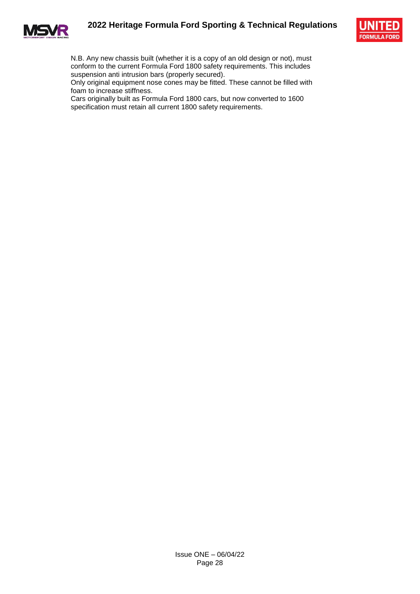





N.B. Any new chassis built (whether it is a copy of an old design or not), must conform to the current Formula Ford 1800 safety requirements. This includes suspension anti intrusion bars (properly secured).

Only original equipment nose cones may be fitted. These cannot be filled with foam to increase stiffness.

Cars originally built as Formula Ford 1800 cars, but now converted to 1600 specification must retain all current 1800 safety requirements.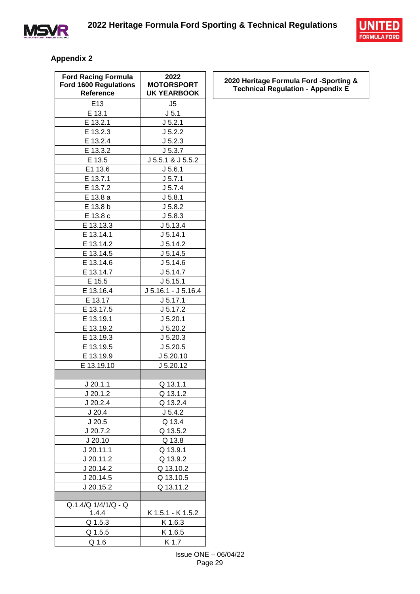



#### **Appendix 2**

| <b>Ford Racing Formula</b><br><b>Ford 1600 Regulations</b><br>Reference | 2022<br><b>MOTORSPORT</b><br><b>UK YEARBOOK</b> |
|-------------------------------------------------------------------------|-------------------------------------------------|
| E13                                                                     | J5                                              |
| E 13.1                                                                  | J <sub>5.1</sub>                                |
| E 13.2.1                                                                | J 5.2.1                                         |
| E 13.2.3                                                                | J 5.2.2                                         |
| E 13.2.4                                                                | J 5.2.3                                         |
| E 13.3.2                                                                | J 5.3.7                                         |
| E 13.5                                                                  | J 5.5.1 & J 5.5.2                               |
| E1 13.6                                                                 | J 5.6.1                                         |
| E 13.7.1                                                                | J 5.7.1                                         |
| E 13.7.2                                                                | J 5.7.4                                         |
| E 13.8 a                                                                | J 5.8.1                                         |
| E 13.8 b                                                                | J 5.8.2                                         |
| E 13.8 c                                                                | J 5.8.3                                         |
| E 13.13.3                                                               | J 5.13.4                                        |
| E 13.14.1                                                               | J 5.14.1                                        |
| E 13.14.2                                                               | J 5.14.2                                        |
| E 13.14.5                                                               | J 5.14.5                                        |
| E 13.14.6                                                               | J 5.14.6                                        |
| E 13.14.7                                                               | J 5.14.7                                        |
| E 15.5                                                                  | J 5.15.1                                        |
| E 13.16.4                                                               | J 5.16.1 - J 5.16.4                             |
| E 13.17                                                                 | J 5.17.1                                        |
| E 13.17.5                                                               | J 5.17.2                                        |
| E 13.19.1                                                               | J 5.20.1                                        |
| E 13.19.2                                                               | J 5.20.2                                        |
| E 13.19.3                                                               | J 5.20.3                                        |
| E 13.19.5                                                               | J 5.20.5                                        |
| E 13.19.9                                                               | J 5.20.10                                       |
| E 13.19.10                                                              | J 5.20.12                                       |
|                                                                         |                                                 |
| J 20.1.1                                                                | <u>Q 13.1.1</u>                                 |
| J 20.1.2                                                                | Q 13.1.2                                        |
| J 20.2.4                                                                | Q 13.2.4                                        |
| J20.4                                                                   | J 5.4.2                                         |
| J20.5                                                                   | Q 13.4                                          |
| J 20.7.2                                                                | Q 13.5.2                                        |
| J20.10                                                                  | Q 13.8                                          |
| J 20.11.1                                                               | Q 13.9.1                                        |
| J 20.11.2                                                               | Q 13.9.2                                        |
| J 20.14.2                                                               | Q 13.10.2                                       |
| $J$ 20.14.5                                                             | Q 13.10.5                                       |
| J 20.15.2                                                               | Q 13.11.2                                       |
|                                                                         |                                                 |
| $Q.1.4/Q$ $1/4/1/Q$ - Q                                                 |                                                 |
| 1.4.4                                                                   | K 1.5.1 - K 1.5.2                               |
| Q 1.5.3                                                                 | K 1.6.3                                         |
| Q 1.5.5                                                                 | K 1.6.5                                         |
| Q 1.6                                                                   | K 1.7                                           |

**2020 Heritage Formula Ford -Sporting & Technical Regulation - Appendix E**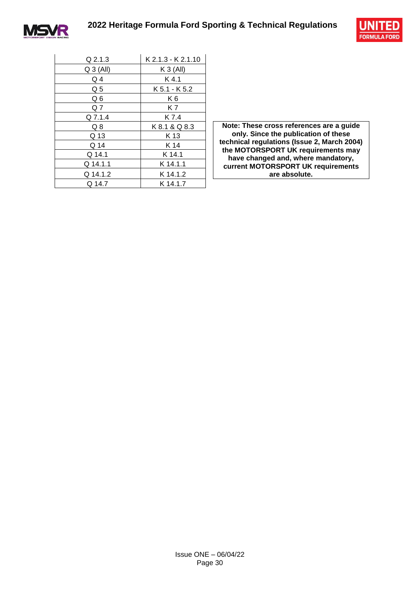



| $Q$ 2.1.3   | K 2.1.3 - K 2.1.10 |
|-------------|--------------------|
| $Q_3$ (All) | $K3$ (All)         |
| Q4          | $K$ 4.1            |
| Q5          | K 5.1 - K 5.2      |
| Q 6         | K6                 |
| Q 7         | K 7                |
| Q 7.1.4     | K 7.4              |
| Q8          | K 8.1 & Q 8.3      |
| Q 13        | K 13               |
| Q 14        | K 14               |
| Q 14.1      | K 14.1             |
| Q 14.1.1    | $K$ 14.1.1         |
| Q 14.1.2    | K 14.1.2           |
| Q 14.7      | K 14.1.7           |

Note: These cross references are a guide **only. Since the publication of these technical regulations (Issue 2, March 2004) the MOTORSPORT UK requirements may have changed and, where mandatory, current MOTORSPORT UK requirements are absolute.**